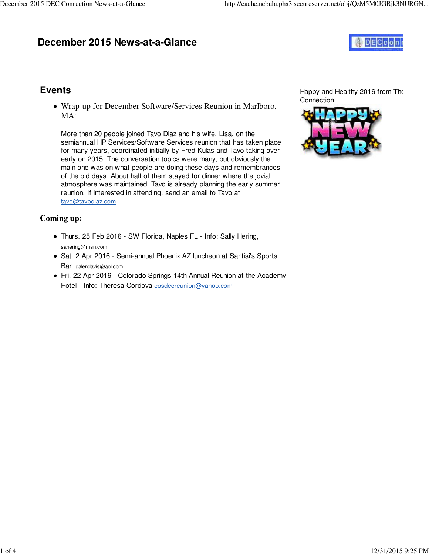## **December 2015 News-at-a-Glance**



#### **Events**

Wrap-up for December Software/Services Reunion in Marlboro, MA:

More than 20 people joined Tavo Diaz and his wife, Lisa, on the semiannual HP Services/Software Services reunion that has taken place for many years, coordinated initially by Fred Kulas and Tavo taking over early on 2015. The conversation topics were many, but obviously the main one was on what people are doing these days and remembrances of the old days. About half of them stayed for dinner where the jovial atmosphere was maintained. Tavo is already planning the early summer reunion. If interested in attending, send an email to Tavo at [tavo@tavodiaz.com](mailto:tavo@tavodiaz.com).

#### **Coming up:**

- Thurs. 25 Feb 2016 SW Florida, Naples FL Info: Sally Hering, [sahering@msn.com](mailto:sahering@msn.com)
- Sat. 2 Apr 2016 Semi-annual Phoenix AZ luncheon at Santisi's Sports Bar. [galendavis@aol.com](mailto:galendavis@aol.com)
- Fri. 22 Apr 2016 Colorado Springs 14th Annual Reunion at the Academy Hotel - Info: Theresa Cordova [cosdecreunion@yahoo.com](mailto:cosdecreunion@yahoo.com)

Happy and Healthy 2016 from The Connection!

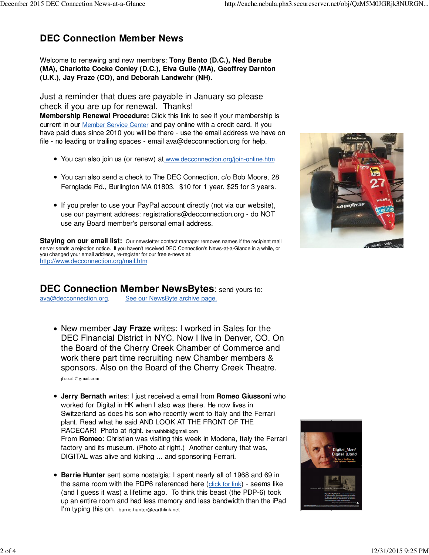## **DEC Connection Member News**

Welcome to renewing and new members: **Tony Bento (D.C.), Ned Berube (MA), Charlotte Cocke Conley (D.C.), Elva Guile (MA), Geoffrey Darnton (U.K.), Jay Fraze (CO), and Deborah Landwehr (NH).**

Just a reminder that dues are payable in January so please check if you are up for renewal. Thanks! **Membership Renewal Procedure:** Click this link to see if your membership is current in our Member Service Center and pay online with a credit card. If you have paid dues since 2010 you will be there - use the email address we have on file - no leading or trailing spaces - email [ava@decconnection.org fo](mailto:ava@decconnection.org)r help.

- You can also join us (or renew) at [www.decconnection.org/join-online.htm](http://www.decconnection.org/join-online.htm)
- You can also send a check to The DEC Connection, c/o Bob Moore, 28 Fernglade Rd., Burlington MA 01803. \$10 for 1 year, \$25 for 3 years.
- If you prefer to use your PayPal account directly (not via our website), use our payment address: [registrations@decconnection.org - d](mailto:registrations@decconnection.org)o NOT use any Board member's personal email address.



**Staying on our email list:** Our newsletter contact manager removes names if the recipient mail server sends a rejection notice. If you haven't received DEC Connection's News-at-a-Glance in a while, or you changed your email address, re-register for our free e-news at: <http://www.decconnection.org/mail.htm>

#### **DEC Connection Member NewsBytes**: send yours to:

[ava@decconnection.org](mailto:ava@decconnection.org). See our NewsByte archive page.

New member **Jay Fraze** writes: I worked in Sales for the DEC Financial District in NYC. Now I live in Denver, CO. On the Board of the Cherry Creek Chamber of Commerce and work there part time recruiting new Chamber members & sponsors. Also on the Board of the Cherry Creek Theatre.

[jfraze1@gmail.com](mailto:jfraze1@gmail.com)

- **Jerry Bernath** writes: I just received a email from **Romeo Giussoni** who worked for Digital in HK when I also was there. He now lives in Switzerland as does his son who recently went to Italy and the Ferrari plant. Read what he said AND LOOK AT THE FRONT OF THE RACECAR! Photo at right. [bernathbibi@gmail.com](mailto:bernathbibi@gmail.com) From **Romeo**: Christian was visiting this week in Modena, Italy the Ferrari factory and its museum. (Photo at right.) Another century that was, DIGITAL was alive and kicking ... and sponsoring Ferrari.
- **Barrie Hunter** sent some nostalgia: I spent nearly all of 1968 and 69 in the same room with the PDP6 referenced here (click for link) - seems like (and I guess it was) a lifetime ago. To think this beast (the PDP-6) took up an entire room and had less memory and less bandwidth than the iPad I'm typing this on. barrie.[hunter@earthlink.net](mailto:hunter@earthlink.net)

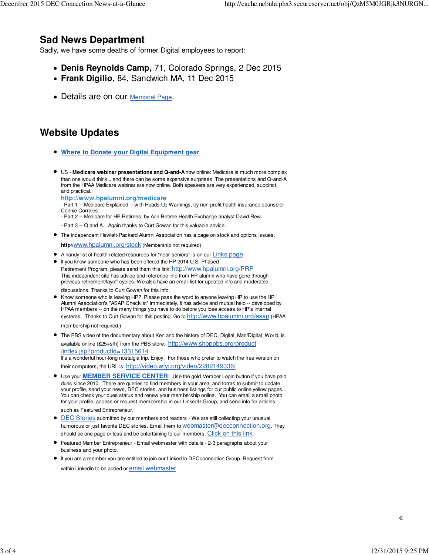### **Sad News Department**

Sadly, we have some deaths of former Digital employees to report:

- **Denis Reynolds Camp,** 71, Colorado Springs, 2 Dec 2015
- **Frank Digilio**, 84, Sandwich MA, 11 Dec 2015
- Details are on our **Memorial Page**.

# **Website Updates**

- **Where to Donate your Digital Equipment gear**
- US - **Medicare webinar presentations and Q-and-A** now online: Medicare is much more complex than one would think... and there can be some expensive surprises. The presentations and Q-and-A from the HPAA Medicare webinar are now online. Both speakers are very experienced, succinct, and practical.

**<http://www.hpalumni.org/medicare>**

- Part 1 -- Medicare Explained -- with Heads Up Warnings, by non-profit health insurance counselor Connie Corrales.

- Part 2 -- Medicare for HP Retirees, by Aon Retiree Health Exchange analyst David Rew.
- Part 3 -- Q and A. Again thanks to Curt Gowan for this valuable advice.
- The independent Hewlett-Packard Alumni Association has a page on stock and options issues:

**http//**[www.hpalumni.org/stock](http://www.hpalumni.org/stock) (Membership not required)

- A handy list of health-related resources for "near-seniors" is on our Links page.
- If you know someone who has been offered the HP 2014 U.S. Phased Retirement Program, please send them this link: <http://www.hpalumni.org/PRP> This independent site has advice and reference info from HP alumni who have gone through previous retirement/layoff cycles. We also have an email list for updated info and moderated

discussions. Thanks to Curt Gowan for this info.

- Know someone who is leaving HP? Please pass the word to anyone leaving HP to use the HP Alumni Association's "ASAP Checklist" immediately. It has advice and mutual help -- developed by HPAA members -- on the many things you have to do before you lose access to HP's internal systems. Thanks to Curt Gowan for this posting. Go to <http://www.hpalumni.org/asap> (HPAA membership not required.)
- The PBS video of the documentary about Ken and the history of DEC, Digital\_Man/Digital\_World, is available online (\$25+s/h) from the PBS store: <http://www.shoppbs.org/product> /index.jsp?productId=13315614

It's a wonderful hour-long nostalgia trip. Enjoy! For those who prefer to watch the free version on their computers, the URL is: [http://video.wfyi.org/video/2282149336/](http://video.wfyi.org/video/2282149336)

Use your **MEMBER SERVICE CENTER**! Use the gold Member Login button if you have paid dues since 2010. There are queries to find members in your area, and forms to submit to update your profile, send your news, DEC stories, and business listings for our public online yellow pages. You can check your dues status and renew your membership online. You can email a small photo for your profile, access or request membership in our LinkedIn Group, and send info for articles

such as Featured Entrepreneur.

- **DEC Stories submitted by our members and readers We are still collecting your unusual,** humorous or just favorite DEC stories. Email them to [webmaster@decconnection.org](mailto:webmaster@decconnection.org). They should be one page or less and be entertaining to our members. Click on this link.
- Featured Member Entrepreneur Email webmaster with details 2-3 paragraphs about your business and your photo.
- If you are a member you are entitled to join our Linked In DECconnection Group. Request from within LinkedIn to be added or email webmaster.